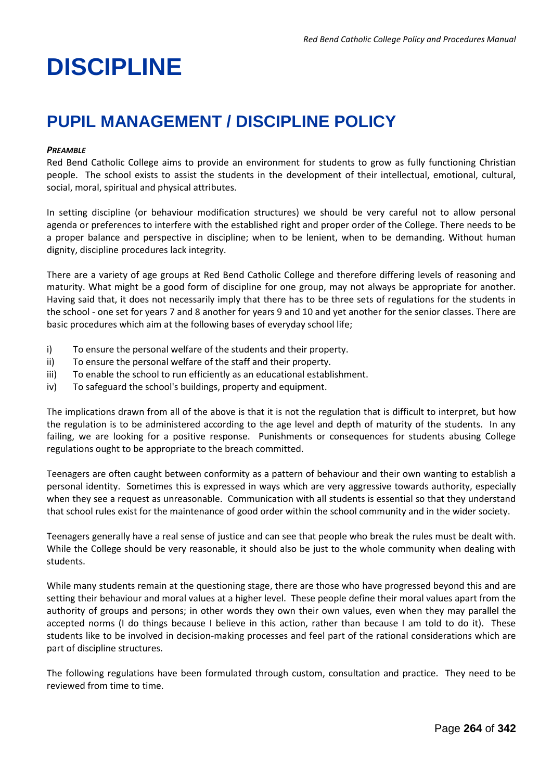# **DISCIPLINE**

# **PUPIL MANAGEMENT / DISCIPLINE POLICY**

#### *PREAMBLE*

Red Bend Catholic College aims to provide an environment for students to grow as fully functioning Christian people. The school exists to assist the students in the development of their intellectual, emotional, cultural, social, moral, spiritual and physical attributes.

In setting discipline (or behaviour modification structures) we should be very careful not to allow personal agenda or preferences to interfere with the established right and proper order of the College. There needs to be a proper balance and perspective in discipline; when to be lenient, when to be demanding. Without human dignity, discipline procedures lack integrity.

There are a variety of age groups at Red Bend Catholic College and therefore differing levels of reasoning and maturity. What might be a good form of discipline for one group, may not always be appropriate for another. Having said that, it does not necessarily imply that there has to be three sets of regulations for the students in the school - one set for years 7 and 8 another for years 9 and 10 and yet another for the senior classes. There are basic procedures which aim at the following bases of everyday school life;

- i) To ensure the personal welfare of the students and their property.
- ii) To ensure the personal welfare of the staff and their property.
- iii) To enable the school to run efficiently as an educational establishment.
- iv) To safeguard the school's buildings, property and equipment.

The implications drawn from all of the above is that it is not the regulation that is difficult to interpret, but how the regulation is to be administered according to the age level and depth of maturity of the students. In any failing, we are looking for a positive response. Punishments or consequences for students abusing College regulations ought to be appropriate to the breach committed.

Teenagers are often caught between conformity as a pattern of behaviour and their own wanting to establish a personal identity. Sometimes this is expressed in ways which are very aggressive towards authority, especially when they see a request as unreasonable. Communication with all students is essential so that they understand that school rules exist for the maintenance of good order within the school community and in the wider society.

Teenagers generally have a real sense of justice and can see that people who break the rules must be dealt with. While the College should be very reasonable, it should also be just to the whole community when dealing with students.

While many students remain at the questioning stage, there are those who have progressed beyond this and are setting their behaviour and moral values at a higher level. These people define their moral values apart from the authority of groups and persons; in other words they own their own values, even when they may parallel the accepted norms (I do things because I believe in this action, rather than because I am told to do it). These students like to be involved in decision-making processes and feel part of the rational considerations which are part of discipline structures.

The following regulations have been formulated through custom, consultation and practice. They need to be reviewed from time to time.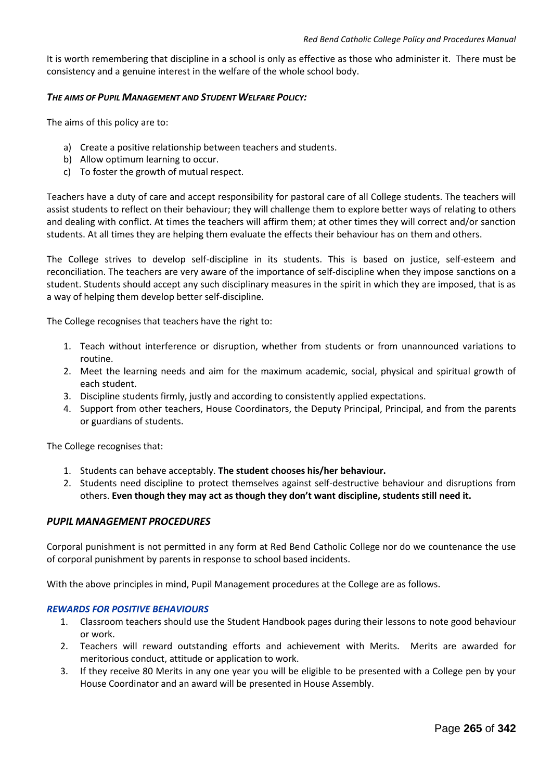It is worth remembering that discipline in a school is only as effective as those who administer it. There must be consistency and a genuine interest in the welfare of the whole school body.

#### *THE AIMS OF PUPIL MANAGEMENT AND STUDENT WELFARE POLICY:*

The aims of this policy are to:

- a) Create a positive relationship between teachers and students.
- b) Allow optimum learning to occur.
- c) To foster the growth of mutual respect.

Teachers have a duty of care and accept responsibility for pastoral care of all College students. The teachers will assist students to reflect on their behaviour; they will challenge them to explore better ways of relating to others and dealing with conflict. At times the teachers will affirm them; at other times they will correct and/or sanction students. At all times they are helping them evaluate the effects their behaviour has on them and others.

The College strives to develop self-discipline in its students. This is based on justice, self-esteem and reconciliation. The teachers are very aware of the importance of self-discipline when they impose sanctions on a student. Students should accept any such disciplinary measures in the spirit in which they are imposed, that is as a way of helping them develop better self-discipline.

The College recognises that teachers have the right to:

- 1. Teach without interference or disruption, whether from students or from unannounced variations to routine.
- 2. Meet the learning needs and aim for the maximum academic, social, physical and spiritual growth of each student.
- 3. Discipline students firmly, justly and according to consistently applied expectations.
- 4. Support from other teachers, House Coordinators, the Deputy Principal, Principal, and from the parents or guardians of students.

The College recognises that:

- 1. Students can behave acceptably. **The student chooses his/her behaviour.**
- 2. Students need discipline to protect themselves against self-destructive behaviour and disruptions from others. **Even though they may act as though they don't want discipline, students still need it.**

#### *PUPIL MANAGEMENT PROCEDURES*

Corporal punishment is not permitted in any form at Red Bend Catholic College nor do we countenance the use of corporal punishment by parents in response to school based incidents.

With the above principles in mind, Pupil Management procedures at the College are as follows.

#### *REWARDS FOR POSITIVE BEHAVIOURS*

- 1. Classroom teachers should use the Student Handbook pages during their lessons to note good behaviour or work.
- 2. Teachers will reward outstanding efforts and achievement with Merits. Merits are awarded for meritorious conduct, attitude or application to work.
- 3. If they receive 80 Merits in any one year you will be eligible to be presented with a College pen by your House Coordinator and an award will be presented in House Assembly.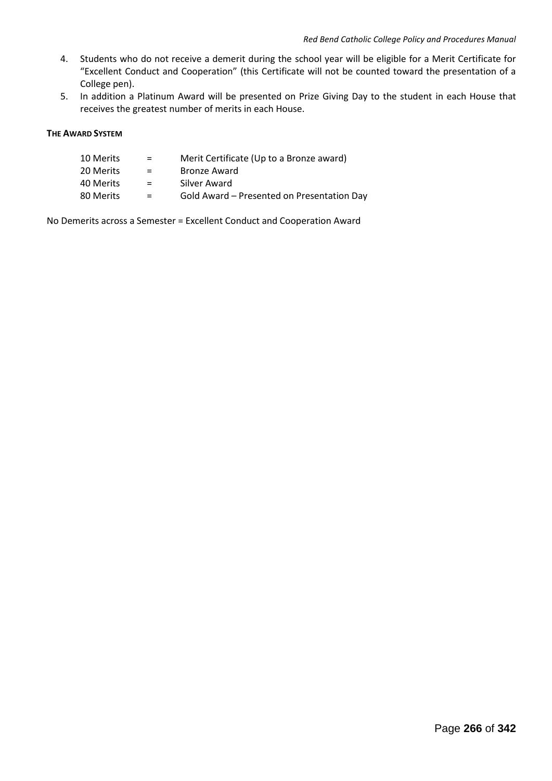- 4. Students who do not receive a demerit during the school year will be eligible for a Merit Certificate for "Excellent Conduct and Cooperation" (this Certificate will not be counted toward the presentation of a College pen).
- 5. In addition a Platinum Award will be presented on Prize Giving Day to the student in each House that receives the greatest number of merits in each House.

#### **THE AWARD SYSTEM**

| 10 Merits | $=$ | Merit Certificate (Up to a Bronze award)   |
|-----------|-----|--------------------------------------------|
| 20 Merits | $=$ | Bronze Award                               |
| 40 Merits | $=$ | Silver Award                               |
| 80 Merits | $=$ | Gold Award – Presented on Presentation Day |

No Demerits across a Semester = Excellent Conduct and Cooperation Award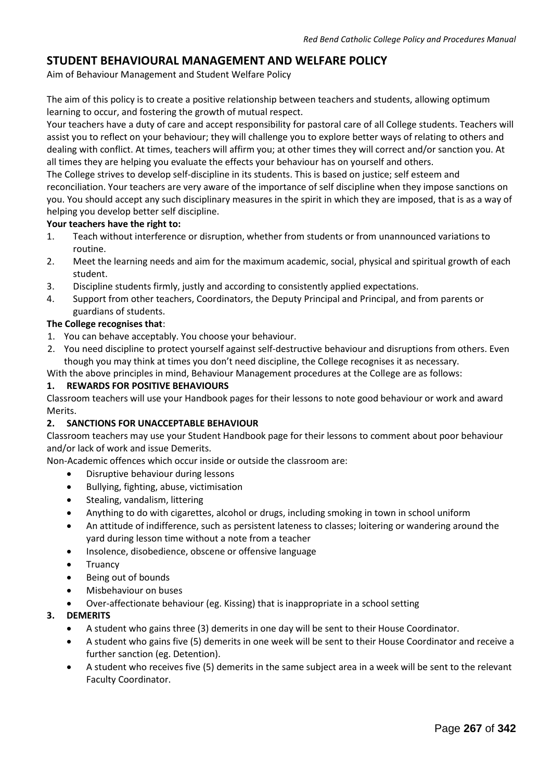# **STUDENT BEHAVIOURAL MANAGEMENT AND WELFARE POLICY**

Aim of Behaviour Management and Student Welfare Policy

The aim of this policy is to create a positive relationship between teachers and students, allowing optimum learning to occur, and fostering the growth of mutual respect.

Your teachers have a duty of care and accept responsibility for pastoral care of all College students. Teachers will assist you to reflect on your behaviour; they will challenge you to explore better ways of relating to others and dealing with conflict. At times, teachers will affirm you; at other times they will correct and/or sanction you. At all times they are helping you evaluate the effects your behaviour has on yourself and others.

The College strives to develop self-discipline in its students. This is based on justice; self esteem and reconciliation. Your teachers are very aware of the importance of self discipline when they impose sanctions on you. You should accept any such disciplinary measures in the spirit in which they are imposed, that is as a way of helping you develop better self discipline.

# **Your teachers have the right to:**

- 1. Teach without interference or disruption, whether from students or from unannounced variations to routine.
- 2. Meet the learning needs and aim for the maximum academic, social, physical and spiritual growth of each student.
- 3. Discipline students firmly, justly and according to consistently applied expectations.
- 4. Support from other teachers, Coordinators, the Deputy Principal and Principal, and from parents or guardians of students.

# **The College recognises that**:

- 1. You can behave acceptably. You choose your behaviour.
- 2. You need discipline to protect yourself against self-destructive behaviour and disruptions from others. Even though you may think at times you don't need discipline, the College recognises it as necessary.

With the above principles in mind, Behaviour Management procedures at the College are as follows:

#### **1. REWARDS FOR POSITIVE BEHAVIOURS**

Classroom teachers will use your Handbook pages for their lessons to note good behaviour or work and award Merits.

#### **2. SANCTIONS FOR UNACCEPTABLE BEHAVIOUR**

Classroom teachers may use your Student Handbook page for their lessons to comment about poor behaviour and/or lack of work and issue Demerits.

Non-Academic offences which occur inside or outside the classroom are:

- Disruptive behaviour during lessons
- Bullying, fighting, abuse, victimisation
- Stealing, vandalism, littering
- Anything to do with cigarettes, alcohol or drugs, including smoking in town in school uniform
- An attitude of indifference, such as persistent lateness to classes; loitering or wandering around the yard during lesson time without a note from a teacher
- Insolence, disobedience, obscene or offensive language
- Truancy
- Being out of bounds
- Misbehaviour on buses
- Over-affectionate behaviour (eg. Kissing) that is inappropriate in a school setting

# **3. DEMERITS**

- A student who gains three (3) demerits in one day will be sent to their House Coordinator.
- A student who gains five (5) demerits in one week will be sent to their House Coordinator and receive a further sanction (eg. Detention).
- A student who receives five (5) demerits in the same subject area in a week will be sent to the relevant Faculty Coordinator.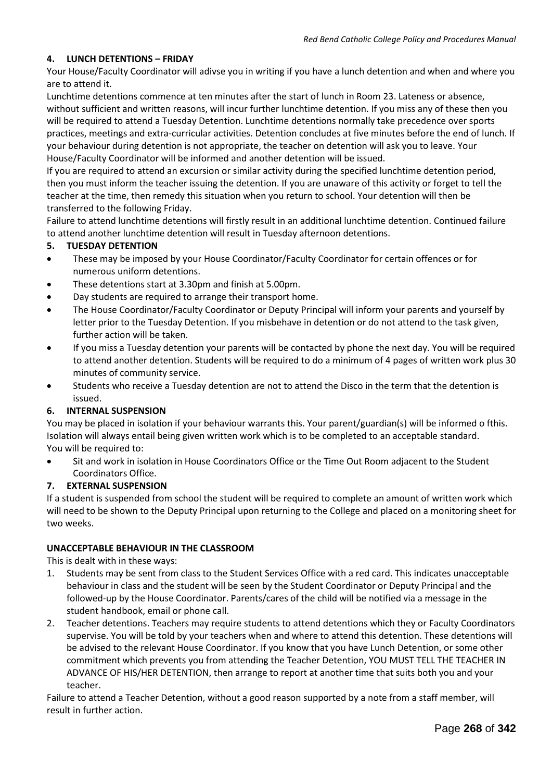# **4. LUNCH DETENTIONS – FRIDAY**

Your House/Faculty Coordinator will adivse you in writing if you have a lunch detention and when and where you are to attend it.

Lunchtime detentions commence at ten minutes after the start of lunch in Room 23. Lateness or absence, without sufficient and written reasons, will incur further lunchtime detention. If you miss any of these then you will be required to attend a Tuesday Detention. Lunchtime detentions normally take precedence over sports practices, meetings and extra-curricular activities. Detention concludes at five minutes before the end of lunch. If your behaviour during detention is not appropriate, the teacher on detention will ask you to leave. Your House/Faculty Coordinator will be informed and another detention will be issued.

If you are required to attend an excursion or similar activity during the specified lunchtime detention period, then you must inform the teacher issuing the detention. If you are unaware of this activity or forget to tell the teacher at the time, then remedy this situation when you return to school. Your detention will then be transferred to the following Friday.

Failure to attend lunchtime detentions will firstly result in an additional lunchtime detention. Continued failure to attend another lunchtime detention will result in Tuesday afternoon detentions.

# **5. TUESDAY DETENTION**

- These may be imposed by your House Coordinator/Faculty Coordinator for certain offences or for numerous uniform detentions.
- These detentions start at 3.30pm and finish at 5.00pm.
- Day students are required to arrange their transport home.
- The House Coordinator/Faculty Coordinator or Deputy Principal will inform your parents and yourself by letter prior to the Tuesday Detention. If you misbehave in detention or do not attend to the task given, further action will be taken.
- If you miss a Tuesday detention your parents will be contacted by phone the next day. You will be required to attend another detention. Students will be required to do a minimum of 4 pages of written work plus 30 minutes of community service.
- Students who receive a Tuesday detention are not to attend the Disco in the term that the detention is issued.

#### **6. INTERNAL SUSPENSION**

You may be placed in isolation if your behaviour warrants this. Your parent/guardian(s) will be informed o fthis. Isolation will always entail being given written work which is to be completed to an acceptable standard. You will be required to:

 Sit and work in isolation in House Coordinators Office or the Time Out Room adjacent to the Student Coordinators Office.

#### **7. EXTERNAL SUSPENSION**

If a student is suspended from school the student will be required to complete an amount of written work which will need to be shown to the Deputy Principal upon returning to the College and placed on a monitoring sheet for two weeks.

#### **UNACCEPTABLE BEHAVIOUR IN THE CLASSROOM**

This is dealt with in these ways:

- 1. Students may be sent from class to the Student Services Office with a red card. This indicates unacceptable behaviour in class and the student will be seen by the Student Coordinator or Deputy Principal and the followed-up by the House Coordinator. Parents/cares of the child will be notified via a message in the student handbook, email or phone call.
- 2. Teacher detentions. Teachers may require students to attend detentions which they or Faculty Coordinators supervise. You will be told by your teachers when and where to attend this detention. These detentions will be advised to the relevant House Coordinator. If you know that you have Lunch Detention, or some other commitment which prevents you from attending the Teacher Detention, YOU MUST TELL THE TEACHER IN ADVANCE OF HIS/HER DETENTION, then arrange to report at another time that suits both you and your teacher.

Failure to attend a Teacher Detention, without a good reason supported by a note from a staff member, will result in further action.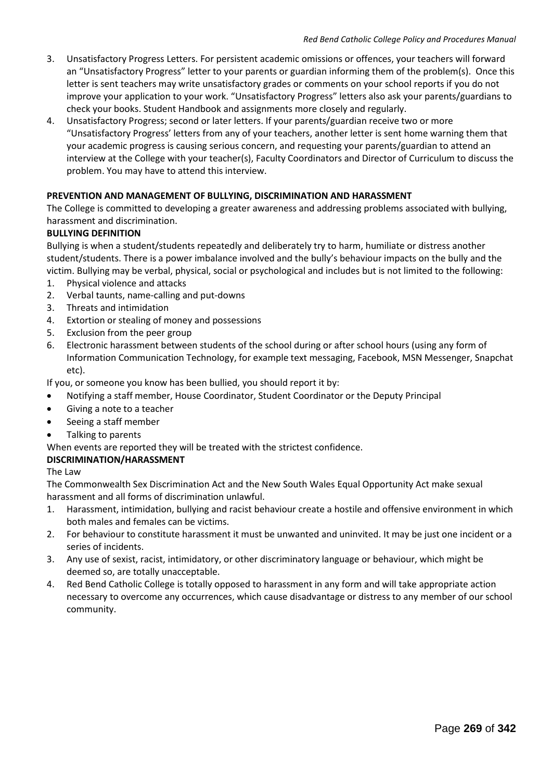- 3. Unsatisfactory Progress Letters. For persistent academic omissions or offences, your teachers will forward an "Unsatisfactory Progress" letter to your parents or guardian informing them of the problem(s). Once this letter is sent teachers may write unsatisfactory grades or comments on your school reports if you do not improve your application to your work. "Unsatisfactory Progress" letters also ask your parents/guardians to check your books. Student Handbook and assignments more closely and regularly.
- 4. Unsatisfactory Progress; second or later letters. If your parents/guardian receive two or more "Unsatisfactory Progress' letters from any of your teachers, another letter is sent home warning them that your academic progress is causing serious concern, and requesting your parents/guardian to attend an interview at the College with your teacher(s), Faculty Coordinators and Director of Curriculum to discuss the problem. You may have to attend this interview.

# **PREVENTION AND MANAGEMENT OF BULLYING, DISCRIMINATION AND HARASSMENT**

The College is committed to developing a greater awareness and addressing problems associated with bullying, harassment and discrimination.

# **BULLYING DEFINITION**

Bullying is when a student/students repeatedly and deliberately try to harm, humiliate or distress another student/students. There is a power imbalance involved and the bully's behaviour impacts on the bully and the victim. Bullying may be verbal, physical, social or psychological and includes but is not limited to the following:

- 1. Physical violence and attacks
- 2. Verbal taunts, name-calling and put-downs
- 3. Threats and intimidation
- 4. Extortion or stealing of money and possessions
- 5. Exclusion from the peer group
- 6. Electronic harassment between students of the school during or after school hours (using any form of Information Communication Technology, for example text messaging, Facebook, MSN Messenger, Snapchat etc).

If you, or someone you know has been bullied, you should report it by:

- Notifying a staff member, House Coordinator, Student Coordinator or the Deputy Principal
- Giving a note to a teacher
- Seeing a staff member
- Talking to parents

When events are reported they will be treated with the strictest confidence.

#### **DISCRIMINATION/HARASSMENT**

The Law

The Commonwealth Sex Discrimination Act and the New South Wales Equal Opportunity Act make sexual harassment and all forms of discrimination unlawful.

- 1. Harassment, intimidation, bullying and racist behaviour create a hostile and offensive environment in which both males and females can be victims.
- 2. For behaviour to constitute harassment it must be unwanted and uninvited. It may be just one incident or a series of incidents.
- 3. Any use of sexist, racist, intimidatory, or other discriminatory language or behaviour, which might be deemed so, are totally unacceptable.
- 4. Red Bend Catholic College is totally opposed to harassment in any form and will take appropriate action necessary to overcome any occurrences, which cause disadvantage or distress to any member of our school community.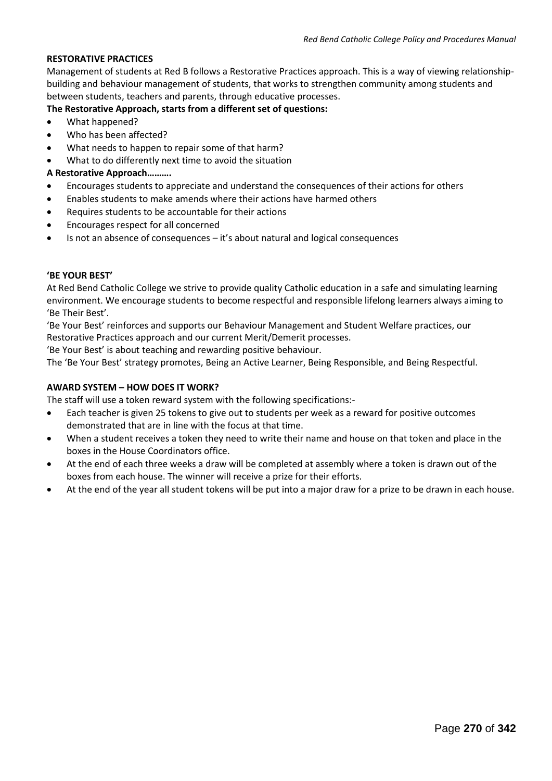#### **RESTORATIVE PRACTICES**

Management of students at Red B follows a Restorative Practices approach. This is a way of viewing relationshipbuilding and behaviour management of students, that works to strengthen community among students and between students, teachers and parents, through educative processes.

# **The Restorative Approach, starts from a different set of questions:**

- What happened?
- Who has been affected?
- What needs to happen to repair some of that harm?
- What to do differently next time to avoid the situation

#### **A Restorative Approach……….**

- Encourages students to appreciate and understand the consequences of their actions for others
- Enables students to make amends where their actions have harmed others
- Requires students to be accountable for their actions
- Encourages respect for all concerned
- Is not an absence of consequences it's about natural and logical consequences

#### **'BE YOUR BEST'**

At Red Bend Catholic College we strive to provide quality Catholic education in a safe and simulating learning environment. We encourage students to become respectful and responsible lifelong learners always aiming to 'Be Their Best'.

'Be Your Best' reinforces and supports our Behaviour Management and Student Welfare practices, our Restorative Practices approach and our current Merit/Demerit processes.

'Be Your Best' is about teaching and rewarding positive behaviour.

The 'Be Your Best' strategy promotes, Being an Active Learner, Being Responsible, and Being Respectful.

#### **AWARD SYSTEM – HOW DOES IT WORK?**

The staff will use a token reward system with the following specifications:-

- Each teacher is given 25 tokens to give out to students per week as a reward for positive outcomes demonstrated that are in line with the focus at that time.
- When a student receives a token they need to write their name and house on that token and place in the boxes in the House Coordinators office.
- At the end of each three weeks a draw will be completed at assembly where a token is drawn out of the boxes from each house. The winner will receive a prize for their efforts.
- At the end of the year all student tokens will be put into a major draw for a prize to be drawn in each house.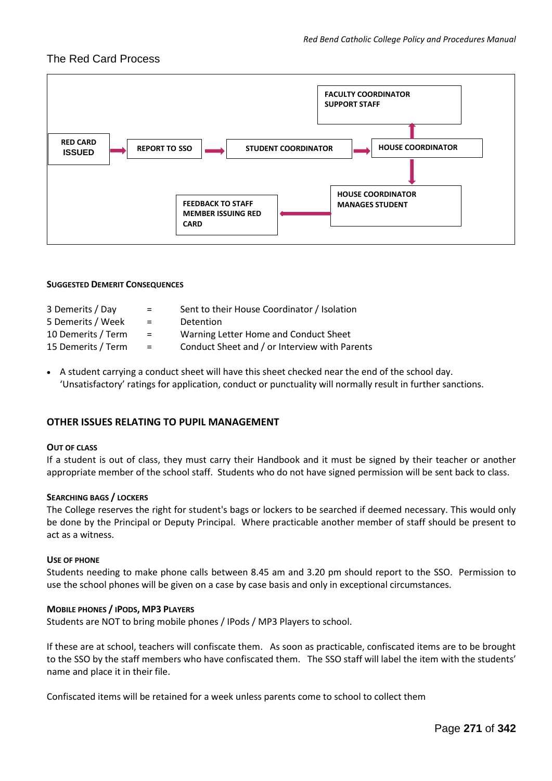# The Red Card Process



#### **SUGGESTED DEMERIT CONSEQUENCES**

| 3 Demerits / Day   | $\equiv$ | Sent to their House Coordinator / Isolation   |
|--------------------|----------|-----------------------------------------------|
| 5 Demerits / Week  | $\equiv$ | Detention                                     |
| 10 Demerits / Term | $\equiv$ | Warning Letter Home and Conduct Sheet         |
| 15 Demerits / Term | $\equiv$ | Conduct Sheet and / or Interview with Parents |

 A student carrying a conduct sheet will have this sheet checked near the end of the school day. 'Unsatisfactory' ratings for application, conduct or punctuality will normally result in further sanctions.

#### **OTHER ISSUES RELATING TO PUPIL MANAGEMENT**

#### **OUT OF CLASS**

If a student is out of class, they must carry their Handbook and it must be signed by their teacher or another appropriate member of the school staff. Students who do not have signed permission will be sent back to class.

#### **SEARCHING BAGS / LOCKERS**

The College reserves the right for student's bags or lockers to be searched if deemed necessary. This would only be done by the Principal or Deputy Principal. Where practicable another member of staff should be present to act as a witness.

#### **USE OF PHONE**

Students needing to make phone calls between 8.45 am and 3.20 pm should report to the SSO. Permission to use the school phones will be given on a case by case basis and only in exceptional circumstances.

#### **MOBILE PHONES / IPODS, MP3 PLAYERS**

Students are NOT to bring mobile phones / IPods / MP3 Players to school.

If these are at school, teachers will confiscate them. As soon as practicable, confiscated items are to be brought to the SSO by the staff members who have confiscated them. The SSO staff will label the item with the students' name and place it in their file.

Confiscated items will be retained for a week unless parents come to school to collect them